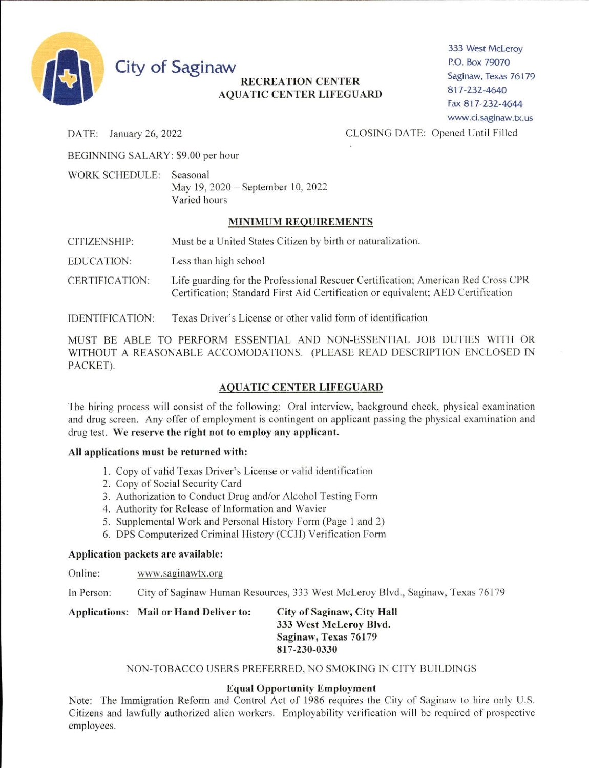

# **City of Saginaw**

# **RECREATION CENTER AQUATIC CENTER LIFEGUARD**

333 West McLeroy P.O. Box 79070 Saginaw, Texas 76179 817-232-4640 Fax 817-232-4644 www.ci.saginaw.tx.us

DATE: January 26, 2022

CLOSING DATE: Opened Until Filled

BEGINNING SALARY: \$9.00 per hour

WORK SCHEDULE: Seasonal May 19, 2020 - September 10, 2022 Varied hours

## **MINIMUM REQUIREMENTS**

Must be a United States Citizen by birth or naturalization. CITIZENSHIP:

- Less than high school **EDUCATION:**
- Life guarding for the Professional Rescuer Certification; American Red Cross CPR **CERTIFICATION:** Certification; Standard First Aid Certification or equivalent; AED Certification

Texas Driver's License or other valid form of identification **IDENTIFICATION:** 

MUST BE ABLE TO PERFORM ESSENTIAL AND NON-ESSENTIAL JOB DUTIES WITH OR WITHOUT A REASONABLE ACCOMODATIONS. (PLEASE READ DESCRIPTION ENCLOSED IN PACKET).

## **AQUATIC CENTER LIFEGUARD**

The hiring process will consist of the following: Oral interview, background check, physical examination and drug screen. Any offer of employment is contingent on applicant passing the physical examination and drug test. We reserve the right not to employ any applicant.

## All applications must be returned with:

- 1. Copy of valid Texas Driver's License or valid identification
- 2. Copy of Social Security Card
- 3. Authorization to Conduct Drug and/or Alcohol Testing Form
- 4. Authority for Release of Information and Wavier
- 5. Supplemental Work and Personal History Form (Page 1 and 2)
- 6. DPS Computerized Criminal History (CCH) Verification Form

## Application packets are available:

Online: www.saginawtx.org

City of Saginaw Human Resources, 333 West McLeroy Blvd., Saginaw, Texas 76179 In Person:

## Applications: Mail or Hand Deliver to:

**City of Saginaw, City Hall** 333 West McLeroy Blvd. Saginaw, Texas 76179 817-230-0330

## NON-TOBACCO USERS PREFERRED, NO SMOKING IN CITY BUILDINGS

## **Equal Opportunity Employment**

Note: The Immigration Reform and Control Act of 1986 requires the City of Saginaw to hire only U.S. Citizens and lawfully authorized alien workers. Employability verification will be required of prospective employees.